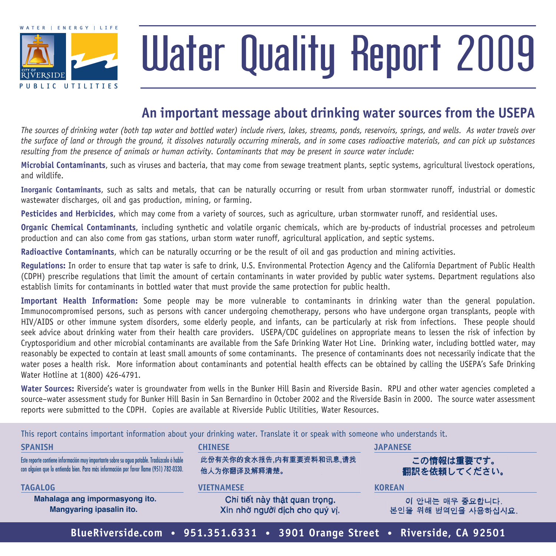

# Water Quality Report 2009

### **An important message about drinking water sources from the usepa**

*The sources of drinking water (both tap water and bottled water) include rivers, lakes, streams, ponds, reservoirs, springs, and wells. As water travels over the surface of land or through the ground, it dissolves naturally occurring minerals, and in some cases radioactive materials, and can pick up substances resulting from the presence of animals or human activity. Contaminants that may be present in source water include:*

**Microbial Contaminants**, such as viruses and bacteria, that may come from sewage treatment plants, septic systems, agricultural livestock operations, and wildlife.

**Inorganic Contaminants**, such as salts and metals, that can be naturally occurring or result from urban stormwater runoff, industrial or domestic wastewater discharges, oil and gas production, mining, or farming.

**Pesticides and Herbicides**, which may come from a variety of sources, such as agriculture, urban stormwater runoff, and residential uses.

**Organic Chemical Contaminants**, including synthetic and volatile organic chemicals, which are by-products of industrial processes and petroleum production and can also come from gas stations, urban storm water runoff, agricultural application, and septic systems.

**Radioactive Contaminants**, which can be naturally occurring or be the result of oil and gas production and mining activities.

**Regulations:** In order to ensure that tap water is safe to drink, U.S. Environmental Protection Agency and the California Department of Public Health (CDPH) prescribe regulations that limit the amount of certain contaminants in water provided by public water systems. Department regulations also establish limits for contaminants in bottled water that must provide the same protection for public health.

**Important Health Information:** Some people may be more vulnerable to contaminants in drinking water than the general population. Immunocompromised persons, such as persons with cancer undergoing chemotherapy, persons who have undergone organ transplants, people with HIV/AIDS or other immune system disorders, some elderly people, and infants, can be particularly at risk from infections. These people should seek advice about drinking water from their health care providers. USEPA/CDC guidelines on appropriate means to lessen the risk of infection by Cryptosporidium and other microbial contaminants are available from the Safe Drinking Water Hot Line. Drinking water, including bottled water, may reasonably be expected to contain at least small amounts of some contaminants. The presence of contaminants does not necessarily indicate that the water poses a health risk. More information about contaminants and potential health effects can be obtained by calling the USEPA's Safe Drinking Water Hotline at 1(800) 426-4791.

**Water Sources:** Riverside's water is groundwater from wells in the Bunker Hill Basin and Riverside Basin. RPU and other water agencies completed a source–water assessment study for Bunker Hill Basin in San Bernardino in October 2002 and the Riverside Basin in 2000. The source water assessment reports were submitted to the CDPH. Copies are available at Riverside Public Utilities, Water Resources.

This report contains important information about your drinking water. Translate it or speak with someone who understands it.

| <b>SPANISH</b>                                                                                                                                                                       | <b>CHINESE</b>                                                  | <b>JAPANESE</b><br>この情報は重要です。<br>翻訳を依頼してください。 |  |
|--------------------------------------------------------------------------------------------------------------------------------------------------------------------------------------|-----------------------------------------------------------------|-----------------------------------------------|--|
| Este reporte contiene información muy importante sobre su agua potable. Tradúzcalo ó hable<br>con alguien que lo entienda bien. Para más información por favor llame (951) 782-0330. | 此份有关你的食水报告,内有重要资料和讯息,请找<br>他人为你翻译及解释清楚。                         |                                               |  |
| <b>TAGALOG</b>                                                                                                                                                                       | <b>VIETNAMESE</b>                                               | <b>KOREAN</b>                                 |  |
| Mahalaga ang impormasyong ito.<br>Mangyaring ipasalin ito.                                                                                                                           | Chi tiết này thật quan trọng.<br>Xin nhờ người dịch cho quý vị. | 이 안내는 매우 중요합니다.<br>본인을 위해 번역인을 사용하십시요.        |  |

**BlueRiverside.com • 951.351.6331 • 3901 Orange Street • Riverside, CA 92501**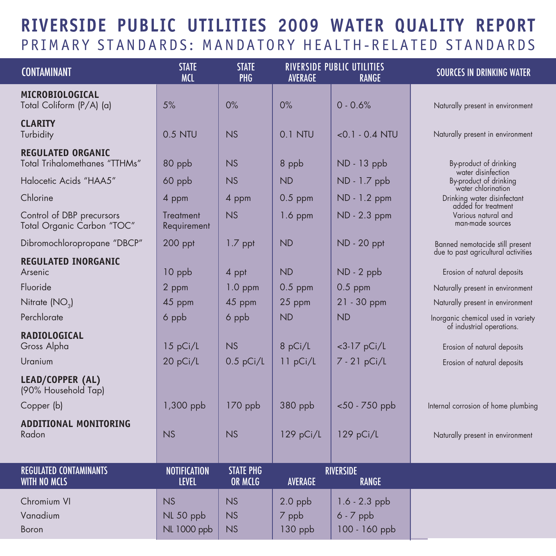## **Riverside Public Utilities 2009 Water Quality Report** PRIMARY STANDARDS: MANDATORY HEALTH-RELATED STANDARDS

| <b>CONTAMINANT</b>                                        | <b>STATE</b><br><b>MCL</b>          | <b>STATE</b><br>PHG                 | AVERAGE                       | <b>RIVERSIDE PUBLIC UTILITIES</b><br><b>RANGE</b> | <b>SOURCES IN DRINKING WATER</b>                                   |
|-----------------------------------------------------------|-------------------------------------|-------------------------------------|-------------------------------|---------------------------------------------------|--------------------------------------------------------------------|
| MICROBIOLOGICAL<br>Total Coliform (P/A) (a)               | 5%                                  | 0%                                  | 0%                            | $0 - 0.6%$                                        | Naturally present in environment                                   |
| <b>CLARITY</b><br>Turbidity                               | 0.5 NTU                             | NS                                  | 0.1 NTU                       | $<$ 0.1 $-$ 0.4 NTU                               | Naturally present in environment                                   |
| <b>REGULATED ORGANIC</b><br>Total Trihalomethanes "TTHMs" | 80 ppb                              | <b>NS</b>                           | 8 ppb                         | ND - 13 ppb                                       | By-product of drinking<br>water disinfection                       |
| Halocetic Acids "HAA5"                                    | 60 ppb                              | <b>NS</b>                           | <b>ND</b>                     | ND - 1.7 ppb                                      | By-product of drinking<br>water chlorination                       |
| Chlorine                                                  | 4 ppm                               | 4 ppm                               | $0.5$ ppm                     | ND - 1.2 ppm                                      | Drinking water disinfectant<br>added for treatment                 |
| Control of DBP precursors<br>Total Organic Carbon "TOC"   | Treatment<br>Requirement            | <b>NS</b>                           | 1.6 ppm                       | ND - 2.3 ppm                                      | Various natural and<br>man-made sources                            |
| Dibromochloropropane "DBCP"                               | 200 ppt                             | $1.7$ ppt                           | <b>ND</b>                     | ND - 20 ppt                                       | Banned nemotacide still present                                    |
| <b>REGULATED INORGANIC</b><br>Arsenic                     | $10$ ppb                            | 4 ppt                               | <b>ND</b>                     | $ND - 2$ ppb                                      | due to past agricultural activities<br>Erosion of natural deposits |
| Fluoride                                                  | 2 ppm                               | $1.0$ ppm                           | $0.5$ ppm                     | $0.5$ ppm                                         | Naturally present in environment                                   |
| Nitrate (NO <sub>3</sub> )                                | 45 ppm                              | 45 ppm                              | 25 ppm                        | $21 - 30$ ppm                                     | Naturally present in environment                                   |
| Perchlorate                                               | 6 ppb                               | 6 ppb                               | <b>ND</b>                     | <b>ND</b>                                         | Inorganic chemical used in variety<br>of industrial operations.    |
| <b>RADIOLOGICAL</b><br>Gross Alpha                        | 15 pCi/L                            | <b>NS</b>                           | 8 pCi/L                       | $<$ 3-17 pCi/L                                    | Erosion of natural deposits                                        |
| Uranium                                                   | 20 pCi/L                            | $0.5$ pCi/L                         | 11 pCi/L                      | 7 - 21 pCi/L                                      | Erosion of natural deposits                                        |
| LEAD/COPPER (AL)<br>(90% Household Tap)                   |                                     |                                     |                               |                                                   |                                                                    |
| Copper (b)                                                | 1,300 ppb                           | $170$ ppb                           | 380 ppb                       | <50 - 750 ppb                                     | Internal corrosion of home plumbing                                |
| <b>ADDITIONAL MONITORING</b><br>Radon                     | <b>NS</b>                           | <b>NS</b>                           | $129$ pCi/L                   | $129$ pCi/L                                       | Naturally present in environment                                   |
| <b>REGULATED CONTAMINANTS</b><br>WITH NO MCLS             | <b>NOTIFICATION</b><br><b>LEVEL</b> | <b>STATE PHG</b><br>OR MCLG         | <b>AVERAGE</b>                | <b>RIVERSIDE</b><br><b>RANGE</b>                  |                                                                    |
| Chromium VI<br>Vanadium<br>Boron                          | NS<br>NL 50 ppb<br>NL 1000 ppb      | <b>NS</b><br><b>NS</b><br><b>NS</b> | $2.0$ ppb<br>7 ppb<br>130 ppb | $1.6 - 2.3$ ppb<br>$6 - 7$ ppb<br>100 - 160 ppb   |                                                                    |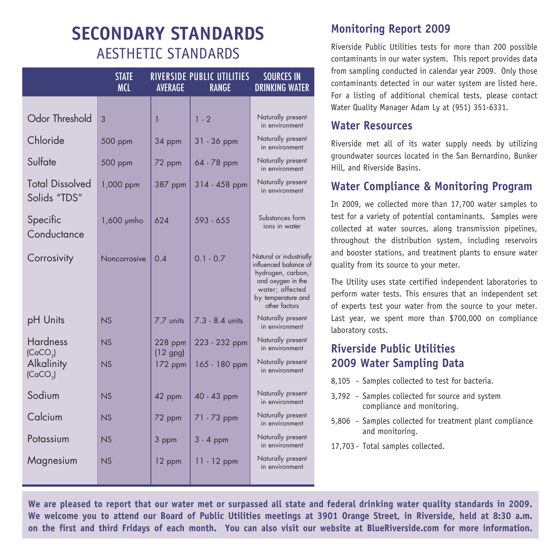## **Secondary Standards** Aesthetic Standards

|                                         | <b>STATE</b><br><b>MCL</b> | <b>AVERAGE</b>          | RIVERSIDE PUBLIC UTILITIES<br><b>RANGE</b> | <b>SOURCES IN</b><br><b>DRINKING WATER</b>                                                                                                           |
|-----------------------------------------|----------------------------|-------------------------|--------------------------------------------|------------------------------------------------------------------------------------------------------------------------------------------------------|
|                                         |                            |                         |                                            |                                                                                                                                                      |
| Odor Threshold                          | 3                          | $\overline{1}$          | $1 - 2$                                    | Naturally present<br>in environment                                                                                                                  |
| Chloride                                | 500 ppm                    | 34 ppm                  | 31 - 36 ppm                                | Naturally present<br>in environment                                                                                                                  |
| Sulfate                                 | 500 ppm                    | 72 ppm                  | 64 - 78 ppm                                | Naturally present<br>in environment                                                                                                                  |
| <b>Total Dissolved</b><br>Solids "TDS"  | 1,000 ppm                  | 387 ppm                 | 314 - 458 ppm                              | Naturally present<br>in environment                                                                                                                  |
| Specific<br>Conductance                 | $1,600$ $\mu$ mho          | 624                     | 593 - 655                                  | Substances form<br>ions in water                                                                                                                     |
| Corrosivity                             | Noncorrosive               | 0.4                     | $0.1 - 0.7$                                | Natural or industrially<br>influenced balance of<br>hydrogen, carbon,<br>and oxygen in the<br>water; affected<br>by temperature and<br>other factors |
| pH Units                                | <b>NS</b>                  | 7.7 units               | 7.3 - 8.4 units                            | Naturally present<br>in environment                                                                                                                  |
| <b>Hardness</b><br>(CaCO <sub>3</sub> ) | N.S                        | $228$ ppm<br>$(12$ gpg) | 223 - 232 ppm                              | Naturally present<br>in environment                                                                                                                  |
| Alkalinity<br>(CaCO <sub>3</sub> )      | <b>NS</b>                  | $172$ ppm               | 165 - 180 ppm                              | Naturally present<br>in environment                                                                                                                  |
| Sodium                                  | <b>NS</b>                  | 42 ppm                  | 40 - 43 ppm                                | Naturally present<br>in environment                                                                                                                  |
| Calcium                                 | <b>NS</b>                  | 72 ppm                  | 71 - 73 ppm                                | Naturally present<br>in environment                                                                                                                  |
| Potassium                               | <b>NS</b>                  | 3 ppm                   | $3 - 4$ ppm                                | Naturally present<br>in environment                                                                                                                  |
| Magnesium                               | N.S                        | 12 ppm                  | $11 - 12$ ppm                              | Naturally present<br>in environment                                                                                                                  |

#### **Monitoring Report 2009**

Riverside Public Utilities tests for more than 200 possible contaminants in our water system. This report provides data from sampling conducted in calendar year 2009. Only those contaminants detected in our water system are listed here. For a listing of additional chemical tests, please contact Water Quality Manager Adam Ly at (951) 351-6331.

#### **Water Resources**

Riverside met all of its water supply needs by utilizing groundwater sources located in the San Bernardino, Bunker Hill, and Riverside Basins.

#### **Water Compliance & Monitoring Program**

In 2009, we collected more than 17,700 water samples to test for a variety of potential contaminants. Samples were collected at water sources, along transmission pipelines, throughout the distribution system, including reservoirs and booster stations, and treatment plants to ensure water quality from its source to your meter.

The Utility uses state certified independent laboratories to perform water tests. This ensures that an independent set of experts test your water from the source to your meter. Last year, we spent more than \$700,000 on compliance laboratory costs.

#### **Riverside Public Utilities 2009 Water Sampling Data**

- 8,105 Samples collected to test for bacteria.
- 3,792 Samples collected for source and system compliance and monitoring.
- 5,806 Samples collected for treatment plant compliance and monitoring.
- 17,703 Total samples collected.

**We are pleased to report that our water met or surpassed all state and federal drinking water quality standards in 2009. We welcome you to attend our Board of Public Utilities meetings at 3901 Orange Street, in Riverside, held at 8:30 a.m. on the first and third Fridays of each month. You can also visit our website at BlueRiverside.com for more information.**